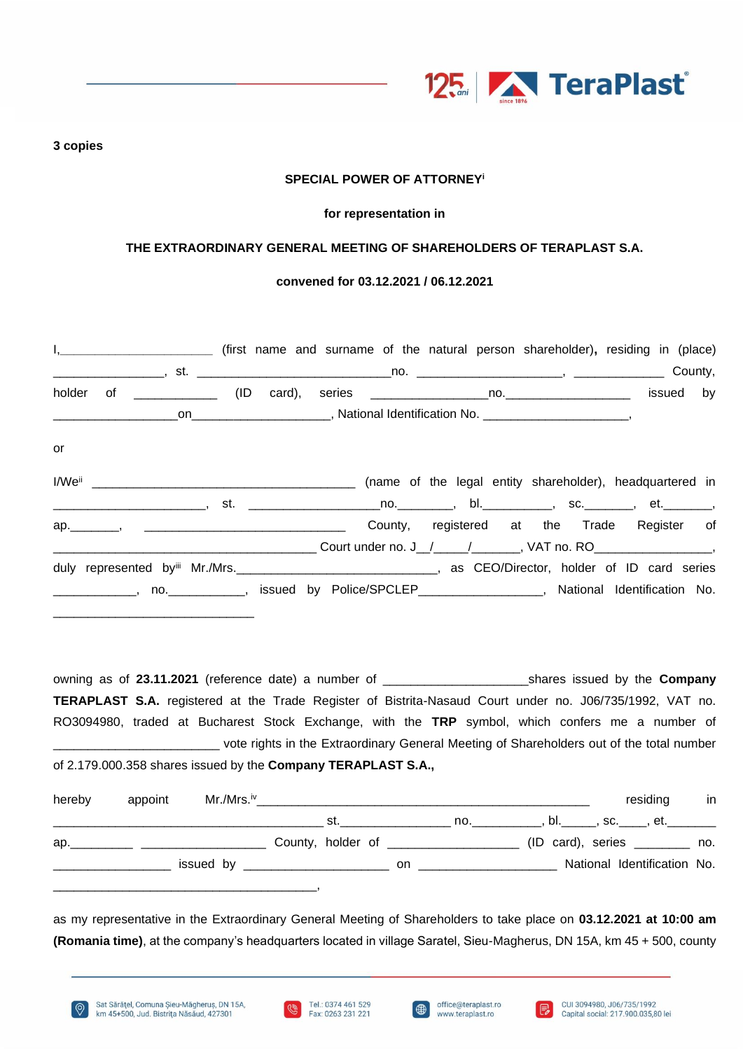

#### **3 copies**

## **SPECIAL POWER OF ATTORNEY<sup>i</sup>**

## **for representation in**

## **THE EXTRAORDINARY GENERAL MEETING OF SHAREHOLDERS OF TERAPLAST S.A.**

## **convened for 03.12.2021 / 06.12.2021**

|    |  |  | I, ______________________________ (first name and surname of the natural person shareholder), residing in (place)   |
|----|--|--|---------------------------------------------------------------------------------------------------------------------|
|    |  |  |                                                                                                                     |
|    |  |  |                                                                                                                     |
|    |  |  |                                                                                                                     |
| or |  |  |                                                                                                                     |
|    |  |  |                                                                                                                     |
|    |  |  | _________________________, st.  __________________________________, bl._____________, sc.__________, et.___________ |
|    |  |  | County, registered at the Trade Register of                                                                         |
|    |  |  |                                                                                                                     |
|    |  |  | duly represented by Mr./Mrs. __________________________________, as CEO/Director, holder of ID card series          |
|    |  |  | _____________, no.____________, issued by Police/SPCLEP__________________, National Identification No.              |

owning as of **23.11.2021** (reference date) a number of \_\_\_\_\_\_\_\_\_\_\_\_\_\_\_\_\_\_\_\_\_shares issued by the **Company TERAPLAST S.A.** registered at the Trade Register of Bistrita-Nasaud Court under no. J06/735/1992, VAT no. RO3094980, traded at Bucharest Stock Exchange, with the **TRP** symbol, which confers me a number of \_\_\_\_\_\_\_\_\_\_\_\_\_\_\_\_\_\_\_\_\_\_\_\_ vote rights in the Extraordinary General Meeting of Shareholders out of the total number of 2.179.000.358 shares issued by the **Company TERAPLAST S.A.,**

| hereby | appoint | Mr./Mrs.™ |                                                                                                                                                                                                                               |     |  | residing                                                | in |
|--------|---------|-----------|-------------------------------------------------------------------------------------------------------------------------------------------------------------------------------------------------------------------------------|-----|--|---------------------------------------------------------|----|
|        |         |           | st. In the set of the set of the set of the set of the set of the set of the set of the set of the set of the                                                                                                                 |     |  | . no.______________, bl._______, sc._____, et._________ |    |
|        |         |           | County, holder of _________________                                                                                                                                                                                           |     |  | $(ID \ card), \ series \t  no.$                         |    |
|        |         |           | issued by the contract of the contract of the contract of the contract of the contract of the contract of the contract of the contract of the contract of the contract of the contract of the contract of the contract of the | on. |  | National Identification No.                             |    |
|        |         |           |                                                                                                                                                                                                                               |     |  |                                                         |    |

as my representative in the Extraordinary General Meeting of Shareholders to take place on **03.12.2021 at 10:00 am (Romania time)**, at the company's headquarters located in village Saratel, Sieu-Magherus, DN 15A, km 45 + 500, county



6699)

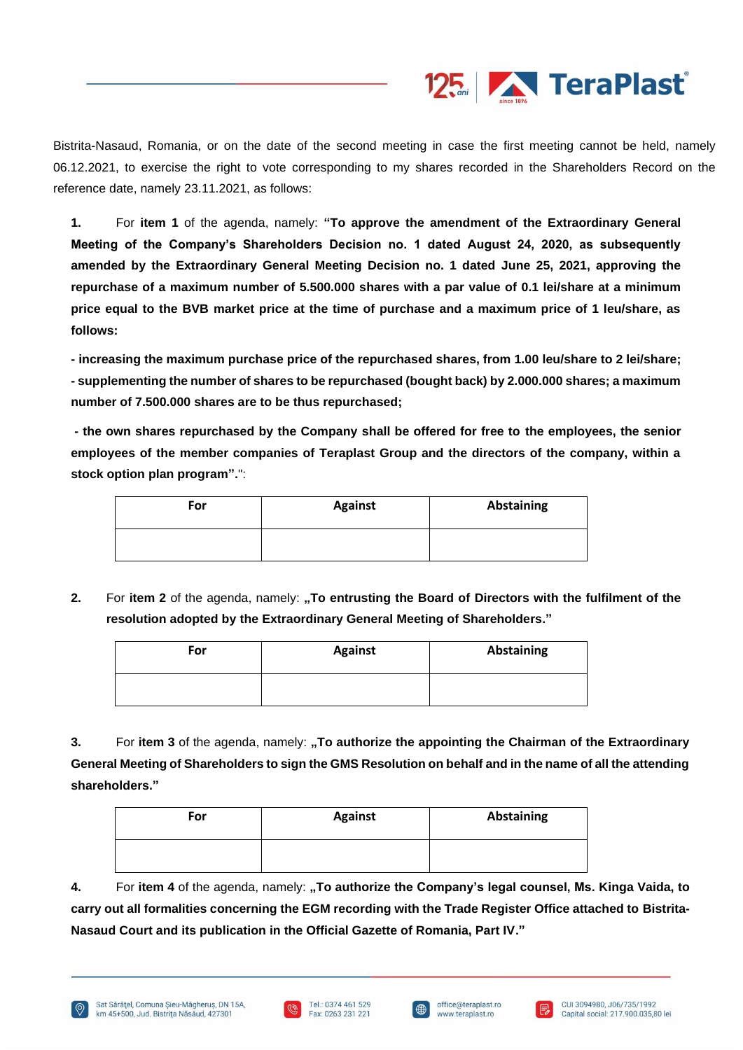

Bistrita-Nasaud, Romania, or on the date of the second meeting in case the first meeting cannot be held, namely 06.12.2021, to exercise the right to vote corresponding to my shares recorded in the Shareholders Record on the reference date, namely 23.11.2021, as follows:

**1.** For **item 1** of the agenda, namely: **"To approve the amendment of the Extraordinary General Meeting of the Company's Shareholders Decision no. 1 dated August 24, 2020, as subsequently amended by the Extraordinary General Meeting Decision no. 1 dated June 25, 2021, approving the repurchase of a maximum number of 5.500.000 shares with a par value of 0.1 lei/share at a minimum price equal to the BVB market price at the time of purchase and a maximum price of 1 leu/share, as follows:** 

**- increasing the maximum purchase price of the repurchased shares, from 1.00 leu/share to 2 lei/share; - supplementing the number of shares to be repurchased (bought back) by 2.000.000 shares; a maximum number of 7.500.000 shares are to be thus repurchased;**

**- the own shares repurchased by the Company shall be offered for free to the employees, the senior employees of the member companies of Teraplast Group and the directors of the company, within a stock option plan program".**":

| For | <b>Against</b> | Abstaining |
|-----|----------------|------------|
|     |                |            |

**2.** For item 2 of the agenda, namely: "To entrusting the Board of Directors with the fulfilment of the **resolution adopted by the Extraordinary General Meeting of Shareholders."**

| For | <b>Against</b> | <b>Abstaining</b> |
|-----|----------------|-------------------|
|     |                |                   |

**3.** For item 3 of the agenda, namely: "To authorize the appointing the Chairman of the Extraordinary **General Meeting of Shareholders to sign the GMS Resolution on behalf and in the name of all the attending shareholders."**

| For | <b>Against</b> | Abstaining |
|-----|----------------|------------|
|     |                |            |

**4.** For **item 4** of the agenda, namely: **"To authorize the Company's legal counsel, Ms. Kinga Vaida, to carry out all formalities concerning the EGM recording with the Trade Register Office attached to Bistrita-Nasaud Court and its publication in the Official Gazette of Romania, Part IV."**





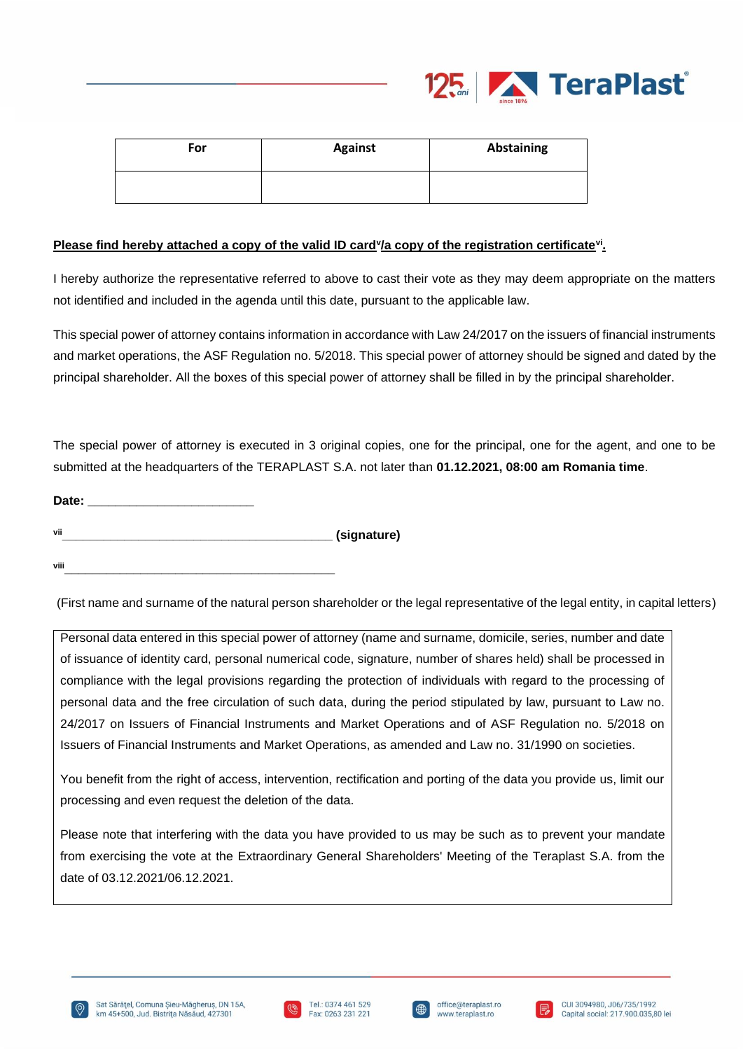

| For | <b>Against</b> | <b>Abstaining</b> |
|-----|----------------|-------------------|
|     |                |                   |

# Please find hereby attached a copy of the valid ID card<sup>y</sup>/a copy of the registration certificate<sup>vi</sup>.

I hereby authorize the representative referred to above to cast their vote as they may deem appropriate on the matters not identified and included in the agenda until this date, pursuant to the applicable law.

This special power of attorney contains information in accordance with Law 24/2017 on the issuers of financial instruments and market operations, the ASF Regulation no. 5/2018. This special power of attorney should be signed and dated by the principal shareholder. All the boxes of this special power of attorney shall be filled in by the principal shareholder.

The special power of attorney is executed in 3 original copies, one for the principal, one for the agent, and one to be submitted at the headquarters of the TERAPLAST S.A. not later than **01.12.2021, 08:00 am Romania time**.

| Date: |             |
|-------|-------------|
| vii   | (signature) |

**viii\_\_\_\_\_\_\_\_\_\_\_\_\_\_\_\_\_\_\_\_\_\_\_\_\_\_\_\_\_\_\_\_\_\_\_\_\_\_\_**

(First name and surname of the natural person shareholder or the legal representative of the legal entity, in capital letters)

Personal data entered in this special power of attorney (name and surname, domicile, series, number and date of issuance of identity card, personal numerical code, signature, number of shares held) shall be processed in compliance with the legal provisions regarding the protection of individuals with regard to the processing of personal data and the free circulation of such data, during the period stipulated by law, pursuant to Law no. 24/2017 on Issuers of Financial Instruments and Market Operations and of ASF Regulation no. 5/2018 on Issuers of Financial Instruments and Market Operations, as amended and Law no. 31/1990 on societies.

You benefit from the right of access, intervention, rectification and porting of the data you provide us, limit our processing and even request the deletion of the data.

Please note that interfering with the data you have provided to us may be such as to prevent your mandate from exercising the vote at the Extraordinary General Shareholders' Meeting of the Teraplast S.A. from the date of 03.12.2021/06.12.2021.